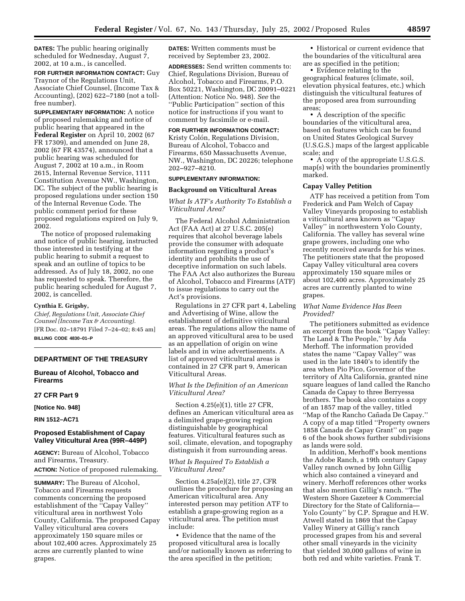**DATES:** The public hearing originally scheduled for Wednesday, August 7, 2002, at 10 a.m., is cancelled.

**FOR FURTHER INFORMATION CONTACT:** Guy Traynor of the Regulations Unit, Associate Chief Counsel, (Income Tax & Accounting), (202) 622–7180 (not a tollfree number).

**SUPPLEMENTARY INFORMATION:** A notice of proposed rulemaking and notice of public hearing that appeared in the **Federal Register** on April 10, 2002 (67 FR 17309), and amended on June 28, 2002 (67 FR 43574), announced that a public hearing was scheduled for August 7, 2002 at 10 a.m., in Room 2615, Internal Revenue Service, 1111 Constitution Avenue NW., Washington, DC. The subject of the public hearing is proposed regulations under section 150 of the Internal Revenue Code. The public comment period for these proposed regulations expired on July 9, 2002.

The notice of proposed rulemaking and notice of public hearing, instructed those interested in testifying at the public hearing to submit a request to speak and an outline of topics to be addressed. As of July 18, 2002, no one has requested to speak. Therefore, the public hearing scheduled for August 7, 2002, is cancelled.

#### **Cynthia E. Grigsby,**

*Chief, Regulations Unit, Associate Chief Counsel (Income Tax & Accounting).* [FR Doc. 02–18791 Filed 7–24–02; 8:45 am] **BILLING CODE 4830–01–P**

## **DEPARTMENT OF THE TREASURY**

## **Bureau of Alcohol, Tobacco and Firearms**

# **27 CFR Part 9**

**[Notice No. 948]** 

**RIN 1512–AC71** 

# **Proposed Establishment of Capay Valley Viticultural Area (99R–449P)**

**AGENCY:** Bureau of Alcohol, Tobacco and Firearms, Treasury. **ACTION:** Notice of proposed rulemaking.

**SUMMARY:** The Bureau of Alcohol, Tobacco and Firearms requests comments concerning the proposed establishment of the ''Capay Valley'' viticultural area in northwest Yolo County, California. The proposed Capay Valley viticultural area covers approximately 150 square miles or about 102,400 acres. Approximately 25 acres are currently planted to wine grapes.

**DATES:** Written comments must be received by September 23, 2002.

**ADDRESSES:** Send written comments to: Chief, Regulations Division, Bureau of Alcohol, Tobacco and Firearms, P.O. Box 50221, Washington, DC 20091–0221 (Attention: Notice No. 948). *See* the ''Public Participation'' section of this notice for instructions if you want to comment by facsimile or e-mail.

# **FOR FURTHER INFORMATION CONTACT:**

Kristy Colón, Regulations Division, Bureau of Alcohol, Tobacco and Firearms, 650 Massachusetts Avenue, NW., Washington, DC 20226; telephone 202–927–8210.

# **SUPPLEMENTARY INFORMATION:**

#### **Background on Viticultural Areas**

# *What Is ATF's Authority To Establish a Viticultural Area?*

The Federal Alcohol Administration Act (FAA Act) at 27 U.S.C. 205(e) requires that alcohol beverage labels provide the consumer with adequate information regarding a product's identity and prohibits the use of deceptive information on such labels. The FAA Act also authorizes the Bureau of Alcohol, Tobacco and Firearms (ATF) to issue regulations to carry out the Act's provisions.

Regulations in 27 CFR part 4, Labeling and Advertising of Wine, allow the establishment of definitive viticultural areas. The regulations allow the name of an approved viticultural area to be used as an appellation of origin on wine labels and in wine advertisements. A list of approved viticultural areas is contained in 27 CFR part 9, American Viticultural Areas.

## *What Is the Definition of an American Viticultural Area?*

Section 4.25(e)(1), title 27 CFR, defines an American viticultural area as a delimited grape-growing region distinguishable by geographical features. Viticultural features such as soil, climate, elevation, and topography distinguish it from surrounding areas.

## *What Is Required To Establish a Viticultural Area?*

Section 4.25a(e)(2), title 27, CFR outlines the procedure for proposing an American viticultural area. Any interested person may petition ATF to establish a grape-growing region as a viticultural area. The petition must include:

• Evidence that the name of the proposed viticultural area is locally and/or nationally known as referring to the area specified in the petition;

• Historical or current evidence that the boundaries of the viticultural area are as specified in the petition;

• Evidence relating to the geographical features (climate, soil, elevation physical features, etc.) which distinguish the viticultural features of the proposed area from surrounding

areas; • A description of the specific boundaries of the viticultural area, based on features which can be found on United States Geological Survey (U.S.G.S.) maps of the largest applicable scale; and

• A copy of the appropriate U.S.G.S. map(s) with the boundaries prominently marked.

## **Capay Valley Petition**

ATF has received a petition from Tom Frederick and Pam Welch of Capay Valley Vineyards proposing to establish a viticultural area known as ''Capay Valley'' in northwestern Yolo County, California. The valley has several wine grape growers, including one who recently received awards for his wines. The petitioners state that the proposed Capay Valley viticultural area covers approximately 150 square miles or about 102,400 acres. Approximately 25 acres are currently planted to wine grapes.

#### *What Name Evidence Has Been Provided?*

The petitioners submitted as evidence an excerpt from the book ''Capay Valley: The Land & The People,'' by Ada Merhoff. The information provided states the name ''Capay Valley'' was used in the late 1840's to identify the area when Pio Pico, Governor of the territory of Alta California, granted nine square leagues of land called the Rancho Canada de Capay to three Berryessa brothers. The book also contains a copy of an 1857 map of the valley, titled "Map of the Rancho Cañada De Capay." A copy of a map titled ''Property owners 1858 Canada de Capay Grant'' on page 6 of the book shows further subdivisions as lands were sold.

In addition, Merhoff's book mentions the Adobe Ranch, a 19th century Capay Valley ranch owned by John Gillig which also contained a vineyard and winery. Merhoff references other works that also mention Gillig's ranch. ''The Western Shore Gazeteer & Commercial Directory for the State of California— Yolo County'' by C.P. Sprague and H.W. Atwell stated in 1869 that the Capay Valley Winery at Gillig's ranch processed grapes from his and several other small vineyards in the vicinity that yielded 30,000 gallons of wine in both red and white varieties. Frank T.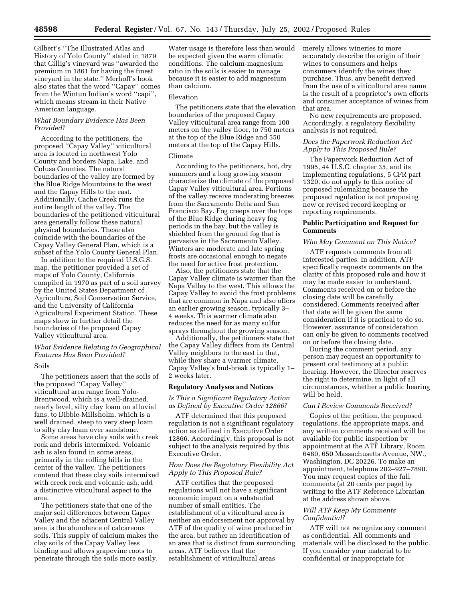Gilbert's ''The Illustrated Atlas and History of Yolo County'' stated in 1879 that Gillig's vineyard was ''awarded the premium in 1861 for having the finest vineyard in the state.'' Merhoff's book also states that the word ''Capay'' comes from the Wintun Indian's word ''capi'', which means stream in their Native American language.

# *What Boundary Evidence Has Been Provided?*

According to the petitioners, the proposed ''Capay Valley'' viticultural area is located in northwest Yolo County and borders Napa, Lake, and Colusa Counties. The natural boundaries of the valley are formed by the Blue Ridge Mountains to the west and the Capay Hills to the east. Additionally, Cache Creek runs the entire length of the valley. The boundaries of the petitioned viticultural area generally follow these natural physical boundaries. These also coincide with the boundaries of the Capay Valley General Plan, which is a subset of the Yolo County General Plan.

In addition to the required U.S.G.S. map, the petitioner provided a set of maps of Yolo County, California compiled in 1970 as part of a soil survey by the United States Department of Agriculture, Soil Conservation Service, and the University of California Agricultural Experiment Station. These maps show in further detail the boundaries of the proposed Capay Valley viticultural area.

# *What Evidence Relating to Geographical Features Has Been Provided?*

### Soils

The petitioners assert that the soils of the proposed ''Capay Valley'' viticultural area range from Yolo-Brentwood, which is a well-drained, nearly level, silty clay loam on alluvial fans, to Dibble-Millsholm, which is a well drained, steep to very steep loam to silty clay loam over sandstone.

Some areas have clay soils with creek rock and debris intermixed. Volcanic ash is also found in some areas, primarily in the rolling hills in the center of the valley. The petitioners contend that these clay soils intermixed with creek rock and volcanic ash, add a distinctive viticultural aspect to the area.

The petitioners state that one of the major soil differences between Capay Valley and the adjacent Central Valley area is the abundance of calcareous soils. This supply of calcium makes the clay soils of the Capay Valley less binding and allows grapevine roots to penetrate through the soils more easily.

Water usage is therefore less than would be expected given the warm climatic conditions. The calcium-magnesium ratio in the soils is easier to manage because it is easier to add magnesium than calcium.

#### Elevation

The petitioners state that the elevation boundaries of the proposed Capay Valley viticultural area range from 100 meters on the valley floor, to 750 meters at the top of the Blue Ridge and 550 meters at the top of the Capay Hills.

### Climate

According to the petitioners, hot, dry summers and a long growing season characterize the climate of the proposed Capay Valley viticultural area. Portions of the valley receive moderating breezes from the Sacramento Delta and San Francisco Bay. Fog creeps over the tops of the Blue Ridge during heavy fog periods in the bay, but the valley is shielded from the ground fog that is pervasive in the Sacramento Valley. Winters are moderate and late spring frosts are occasional enough to negate the need for active frost protection.

Also, the petitioners state that the Capay Valley climate is warmer than the Napa Valley to the west. This allows the Capay Valley to avoid the frost problems that are common in Napa and also offers an earlier growing season, typically 3– 4 weeks. This warmer climate also reduces the need for as many sulfur sprays throughout the growing season.

Additionally, the petitioners state that the Capay Valley differs from its Central Valley neighbors to the east in that, while they share a warmer climate, Capay Valley's bud-break is typically 1– 2 weeks later.

### **Regulatory Analyses and Notices**

## *Is This a Significant Regulatory Action as Defined by Executive Order 12866?*

ATF determined that this proposed regulation is not a significant regulatory action as defined in Executive Order 12866. Accordingly, this proposal is not subject to the analysis required by this Executive Order.

### *How Does the Regulatory Flexibility Act Apply to This Proposed Rule?*

ATF certifies that the proposed regulations will not have a significant economic impact on a substantial number of small entities. The establishment of a viticultural area is neither an endorsement nor approval by ATF of the quality of wine produced in the area, but rather an identification of an area that is distinct from surrounding areas. ATF believes that the establishment of viticultural areas

merely allows wineries to more accurately describe the origin of their wines to consumers and helps consumers identify the wines they purchase. Thus, any benefit derived from the use of a viticultural area name is the result of a proprietor's own efforts and consumer acceptance of wines from that area.

No new requirements are proposed. Accordingly, a regulatory flexibility analysis is not required.

# *Does the Paperwork Reduction Act Apply to This Proposed Rule?*

The Paperwork Reduction Act of 1995, 44 U.S.C. chapter 35, and its implementing regulations, 5 CFR part 1320, do not apply to this notice of proposed rulemaking because the proposed regulation is not proposing new or revised record keeping or reporting requirements.

### **Public Participation and Request for Comments**

### *Who May Comment on This Notice?*

ATF requests comments from all interested parties. In addition, ATF specifically requests comments on the clarity of this proposed rule and how it may be made easier to understand. Comments received on or before the closing date will be carefully considered. Comments received after that date will be given the same consideration if it is practical to do so. However, assurance of consideration can only be given to comments received on or before the closing date.

During the comment period, any person may request an opportunity to present oral testimony at a public hearing. However, the Director reserves the right to determine, in light of all circumstances, whether a public hearing will be held.

## *Can I Review Comments Received?*

Copies of the petition, the proposed regulations, the appropriate maps, and any written comments received will be available for public inspection by appointment at the ATF Library, Room 6480, 650 Massachusetts Avenue, NW., Washington, DC 20226. To make an appointment, telephone 202–927–7890. You may request copies of the full comments (at 20 cents per page) by writing to the ATF Reference Librarian at the address shown above.

### *Will ATF Keep My Comments Confidential?*

ATF will not recognize any comment as confidential. All comments and materials will be disclosed to the public. If you consider your material to be confidential or inappropriate for